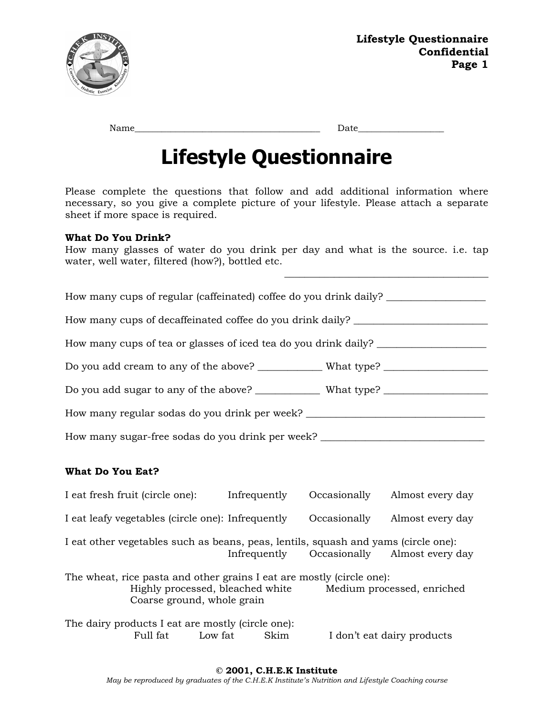

| Name |  |  |
|------|--|--|
|      |  |  |

 $Date$   $\qquad \qquad$ 

\_\_\_\_\_\_\_\_\_\_\_\_\_\_\_\_\_\_\_\_\_\_\_\_\_\_\_\_\_\_\_\_\_\_\_\_\_\_\_\_\_

## **Lifestyle Questionnaire**

Please complete the questions that follow and add additional information where necessary, so you give a complete picture of your lifestyle. Please attach a separate sheet if more space is required.

## **What Do You Drink?**

How many glasses of water do you drink per day and what is the source. i.e. tap water, well water, filtered (how?), bottled etc.

| How many cups of regular (caffeinated) coffee do you drink daily? ______________                                                                                   |  |  |                                            |
|--------------------------------------------------------------------------------------------------------------------------------------------------------------------|--|--|--------------------------------------------|
| How many cups of decaffeinated coffee do you drink daily? ______________________                                                                                   |  |  |                                            |
| How many cups of tea or glasses of iced tea do you drink daily? _________________                                                                                  |  |  |                                            |
| Do you add cream to any of the above? ______________ What type? ________________                                                                                   |  |  |                                            |
|                                                                                                                                                                    |  |  |                                            |
| How many regular sodas do you drink per week? __________________________________                                                                                   |  |  |                                            |
| How many sugar-free sodas do you drink per week? _______________________________                                                                                   |  |  |                                            |
| <b>What Do You Eat?</b>                                                                                                                                            |  |  |                                            |
| I eat fresh fruit (circle one): Infrequently                                                                                                                       |  |  | Occasionally Almost every day              |
| I eat leafy vegetables (circle one): Infrequently                                                                                                                  |  |  | Occasionally Almost every day              |
| I eat other vegetables such as beans, peas, lentils, squash and yams (circle one):                                                                                 |  |  | Infrequently Occasionally Almost every day |
| The wheat, rice pasta and other grains I eat are mostly (circle one):<br>Highly processed, bleached white Medium processed, enriched<br>Coarse ground, whole grain |  |  |                                            |
| The dairy products I eat are mostly (circle one):<br>Full fat Low fat Skim I don't eat dairy products                                                              |  |  |                                            |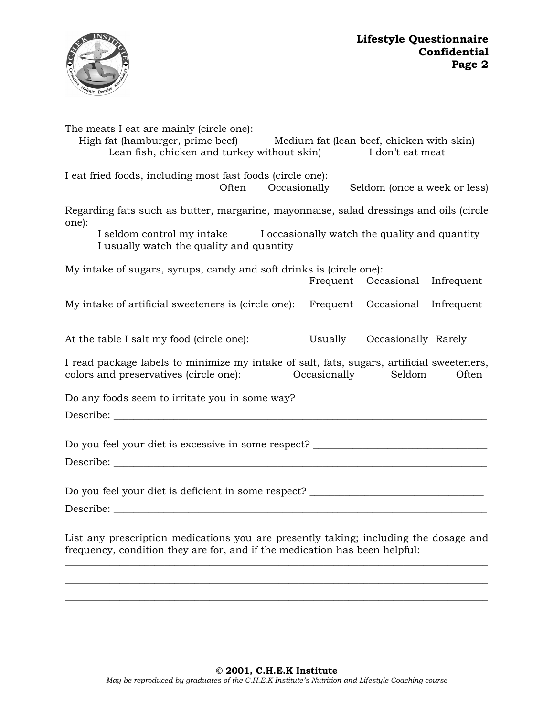

| The meats I eat are mainly (circle one):<br>High fat (hamburger, prime beef)<br>Lean fish, chicken and turkey without skin)                                        | Medium fat (lean beef, chicken with skin)<br>I don't eat meat |       |
|--------------------------------------------------------------------------------------------------------------------------------------------------------------------|---------------------------------------------------------------|-------|
| I eat fried foods, including most fast foods (circle one):<br>Often Occasionally                                                                                   | Seldom (once a week or less)                                  |       |
| Regarding fats such as butter, margarine, mayonnaise, salad dressings and oils (circle<br>one):                                                                    |                                                               |       |
| I seldom control my intake I occasionally watch the quality and quantity<br>I usually watch the quality and quantity                                               |                                                               |       |
| My intake of sugars, syrups, candy and soft drinks is (circle one):                                                                                                |                                                               |       |
|                                                                                                                                                                    | Frequent Occasional Infrequent                                |       |
| My intake of artificial sweeteners is (circle one): Frequent Occasional Infrequent                                                                                 |                                                               |       |
| At the table I salt my food (circle one):                                                                                                                          | Usually Occasionally Rarely                                   |       |
| I read package labels to minimize my intake of salt, fats, sugars, artificial sweeteners,<br>colors and preservatives (circle one): Cocasionally Seldom            |                                                               | Often |
| Do any foods seem to irritate you in some way? _________________________________                                                                                   |                                                               |       |
|                                                                                                                                                                    |                                                               |       |
|                                                                                                                                                                    |                                                               |       |
| Do you feel your diet is excessive in some respect? ____________________________                                                                                   |                                                               |       |
|                                                                                                                                                                    |                                                               |       |
|                                                                                                                                                                    |                                                               |       |
| Do you feel your diet is deficient in some respect? ____________________________                                                                                   |                                                               |       |
|                                                                                                                                                                    |                                                               |       |
| List any prescription medications you are presently taking; including the dosage and<br>frequency, condition they are for, and if the medication has been helpful: |                                                               |       |

\_\_\_\_\_\_\_\_\_\_\_\_\_\_\_\_\_\_\_\_\_\_\_\_\_\_\_\_\_\_\_\_\_\_\_\_\_\_\_\_\_\_\_\_\_\_\_\_\_\_\_\_\_\_\_\_\_\_\_\_\_\_\_\_\_\_\_\_\_\_\_\_\_\_\_\_\_\_\_\_\_\_\_\_\_ \_\_\_\_\_\_\_\_\_\_\_\_\_\_\_\_\_\_\_\_\_\_\_\_\_\_\_\_\_\_\_\_\_\_\_\_\_\_\_\_\_\_\_\_\_\_\_\_\_\_\_\_\_\_\_\_\_\_\_\_\_\_\_\_\_\_\_\_\_\_\_\_\_\_\_\_\_\_\_\_\_\_\_\_\_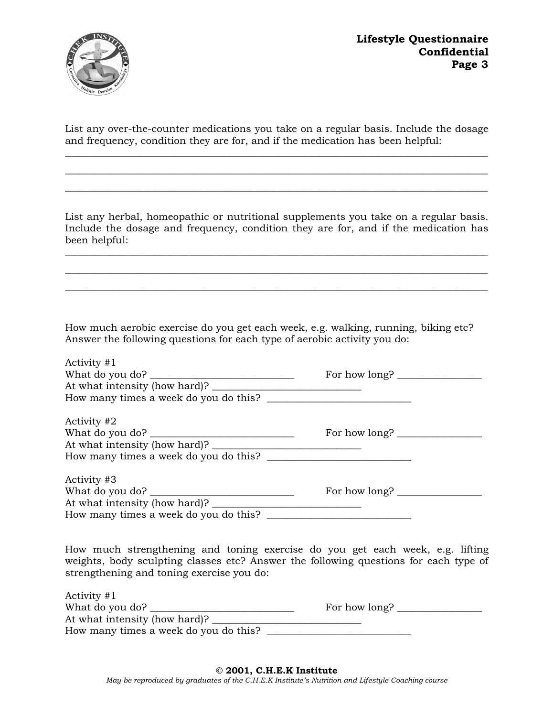**Lifestyle Questionnaire Confidential Page 3** 



List any over-the-counter medications you take on a regular basis. Include the dosage and frequency, condition they are for, and if the medication has been helpful: \_\_\_\_\_\_\_\_\_\_\_\_\_\_\_\_\_\_\_\_\_\_\_\_\_\_\_\_\_\_\_\_\_\_\_\_\_\_\_\_\_\_\_\_\_\_\_\_\_\_\_\_\_\_\_\_\_\_\_\_\_\_\_\_\_\_\_\_\_\_\_\_\_\_\_\_\_\_\_\_\_\_\_\_\_

 $\_$  , and the set of the set of the set of the set of the set of the set of the set of the set of the set of the set of the set of the set of the set of the set of the set of the set of the set of the set of the set of th \_\_\_\_\_\_\_\_\_\_\_\_\_\_\_\_\_\_\_\_\_\_\_\_\_\_\_\_\_\_\_\_\_\_\_\_\_\_\_\_\_\_\_\_\_\_\_\_\_\_\_\_\_\_\_\_\_\_\_\_\_\_\_\_\_\_\_\_\_\_\_\_\_\_\_\_\_\_\_\_\_\_\_\_\_

List any herbal, homeopathic or nutritional supplements you take on a regular basis. Include the dosage and frequency, condition they are for, and if the medication has been helpful:

 $\_$  , and the set of the set of the set of the set of the set of the set of the set of the set of the set of the set of the set of the set of the set of the set of the set of the set of the set of the set of the set of th  $\_$  , and the set of the set of the set of the set of the set of the set of the set of the set of the set of the set of the set of the set of the set of the set of the set of the set of the set of the set of the set of th \_\_\_\_\_\_\_\_\_\_\_\_\_\_\_\_\_\_\_\_\_\_\_\_\_\_\_\_\_\_\_\_\_\_\_\_\_\_\_\_\_\_\_\_\_\_\_\_\_\_\_\_\_\_\_\_\_\_\_\_\_\_\_\_\_\_\_\_\_\_\_\_\_\_\_\_\_\_\_\_\_\_\_\_\_

How much aerobic exercise do you get each week, e.g. walking, running, biking etc? Answer the following questions for each type of aerobic activity you do:

| Activity $#1$<br>At what intensity (how hard)?<br>How many times a week do you do this? | For how long?                                                                                                                                                                                                                                                                                                                                                                                                                               |  |
|-----------------------------------------------------------------------------------------|---------------------------------------------------------------------------------------------------------------------------------------------------------------------------------------------------------------------------------------------------------------------------------------------------------------------------------------------------------------------------------------------------------------------------------------------|--|
| Activity #2                                                                             | For how long? $\frac{1}{\sqrt{1-\frac{1}{2}} \cdot \frac{1}{\sqrt{1-\frac{1}{2}} \cdot \frac{1}{\sqrt{1-\frac{1}{2}} \cdot \frac{1}{\sqrt{1-\frac{1}{2}} \cdot \frac{1}{\sqrt{1-\frac{1}{2}} \cdot \frac{1}{\sqrt{1-\frac{1}{2}} \cdot \frac{1}{\sqrt{1-\frac{1}{2}} \cdot \frac{1}{\sqrt{1-\frac{1}{2}} \cdot \frac{1}{\sqrt{1-\frac{1}{2}} \cdot \frac{1}{\sqrt{1-\frac{1}{2}} \cdot \frac{1}{\sqrt{1-\frac{1}{2}} \cdot \frac{1}{\sqrt{$ |  |
| Activity #3<br>How many times a week do you do this?                                    | For how long?                                                                                                                                                                                                                                                                                                                                                                                                                               |  |

How much strengthening and toning exercise do you get each week, e.g. lifting weights, body sculpting classes etc? Answer the following questions for each type of strengthening and toning exercise you do:

| Activity $#1$                         |               |
|---------------------------------------|---------------|
| What do you do?                       | For how long? |
| At what intensity (how hard)?         |               |
| How many times a week do you do this? |               |